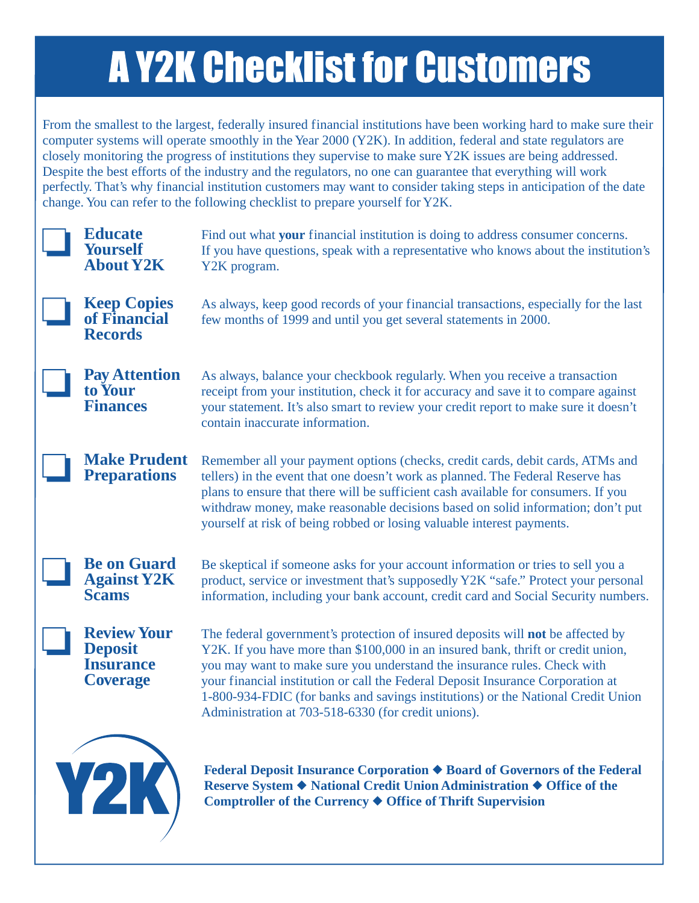## **A Y2K Checklist for Customers**

From the smallest to the largest, federally insured financial institutions have been working hard to make sure their computer systems will operate smoothly in the Year 2000 (Y2K). In addition, federal and state regulators are closely monitoring the progress of institutions they supervise to make sure Y2K issues are being addressed. Despite the best efforts of the industry and the regulators, no one can guarantee that everything will work perfectly. That's why financial institution customers may want to consider taking steps in anticipation of the date change. You can refer to the following checklist to prepare yourself for Y2K.

| <b>Educate</b><br><b>Yourself</b><br><b>About Y2K</b>                       | Find out what your financial institution is doing to address consumer concerns.<br>If you have questions, speak with a representative who knows about the institution's<br>Y2K program.                                                                                                                                                                                                                                                                                       |
|-----------------------------------------------------------------------------|-------------------------------------------------------------------------------------------------------------------------------------------------------------------------------------------------------------------------------------------------------------------------------------------------------------------------------------------------------------------------------------------------------------------------------------------------------------------------------|
| <b>Keep Copies</b><br>of Financial<br><b>Records</b>                        | As always, keep good records of your financial transactions, especially for the last<br>few months of 1999 and until you get several statements in 2000.                                                                                                                                                                                                                                                                                                                      |
| <b>Pay Attention</b><br>to Your<br><b>Finances</b>                          | As always, balance your checkbook regularly. When you receive a transaction<br>receipt from your institution, check it for accuracy and save it to compare against<br>your statement. It's also smart to review your credit report to make sure it doesn't<br>contain inaccurate information.                                                                                                                                                                                 |
| <b>Make Prudent</b><br><b>Preparations</b>                                  | Remember all your payment options (checks, credit cards, debit cards, ATMs and<br>tellers) in the event that one doesn't work as planned. The Federal Reserve has<br>plans to ensure that there will be sufficient cash available for consumers. If you<br>withdraw money, make reasonable decisions based on solid information; don't put<br>yourself at risk of being robbed or losing valuable interest payments.                                                          |
| <b>Be on Guard</b><br><b>Against Y2K</b><br><b>Scams</b>                    | Be skeptical if someone asks for your account information or tries to sell you a<br>product, service or investment that's supposedly Y2K "safe." Protect your personal<br>information, including your bank account, credit card and Social Security numbers.                                                                                                                                                                                                                  |
| <b>Review Your</b><br><b>Deposit</b><br><b>Insurance</b><br><b>Coverage</b> | The federal government's protection of insured deposits will not be affected by<br>Y2K. If you have more than \$100,000 in an insured bank, thrift or credit union,<br>you may want to make sure you understand the insurance rules. Check with<br>your financial institution or call the Federal Deposit Insurance Corporation at<br>1-800-934-FDIC (for banks and savings institutions) or the National Credit Union<br>Administration at 703-518-6330 (for credit unions). |
| Y2K)                                                                        | Federal Deposit Insurance Corporation ♦ Board of Governors of the Federal<br>Reserve System ◆ National Credit Union Administration ◆ Office of the<br>Comptroller of the Currency ♦ Office of Thrift Supervision                                                                                                                                                                                                                                                              |